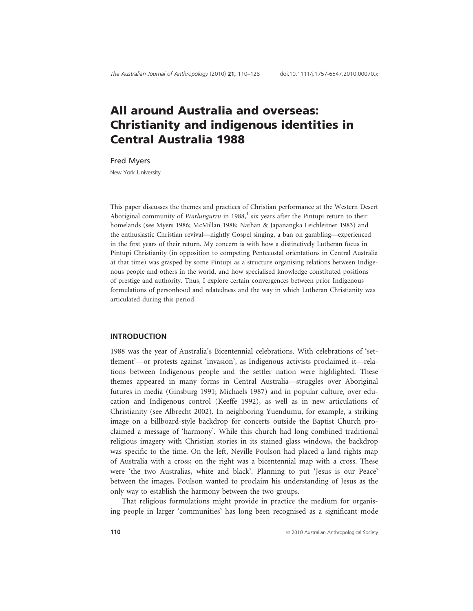# All around Australia and overseas: Christianity and indigenous identities in Central Australia 1988

Fred Myers

New York University

This paper discusses the themes and practices of Christian performance at the Western Desert Aboriginal community of Warlungurru in 1988,<sup>1</sup> six years after the Pintupi return to their homelands (see Myers 1986; McMillan 1988; Nathan & Japanangka Leichleitner 1983) and the enthusiastic Christian revival—nightly Gospel singing, a ban on gambling—experienced in the first years of their return. My concern is with how a distinctively Lutheran focus in Pintupi Christianity (in opposition to competing Pentecostal orientations in Central Australia at that time) was grasped by some Pintupi as a structure organising relations between Indigenous people and others in the world, and how specialised knowledge constituted positions of prestige and authority. Thus, I explore certain convergences between prior Indigenous formulations of personhood and relatedness and the way in which Lutheran Christianity was articulated during this period.

# INTRODUCTION

1988 was the year of Australia's Bicentennial celebrations. With celebrations of 'settlement'—or protests against 'invasion', as Indigenous activists proclaimed it—relations between Indigenous people and the settler nation were highlighted. These themes appeared in many forms in Central Australia—struggles over Aboriginal futures in media (Ginsburg 1991; Michaels 1987) and in popular culture, over education and Indigenous control (Keeffe 1992), as well as in new articulations of Christianity (see Albrecht 2002). In neighboring Yuendumu, for example, a striking image on a billboard-style backdrop for concerts outside the Baptist Church proclaimed a message of 'harmony'. While this church had long combined traditional religious imagery with Christian stories in its stained glass windows, the backdrop was specific to the time. On the left, Neville Poulson had placed a land rights map of Australia with a cross; on the right was a bicentennial map with a cross. These were 'the two Australias, white and black'. Planning to put 'Jesus is our Peace' between the images, Poulson wanted to proclaim his understanding of Jesus as the only way to establish the harmony between the two groups.

That religious formulations might provide in practice the medium for organising people in larger 'communities' has long been recognised as a significant mode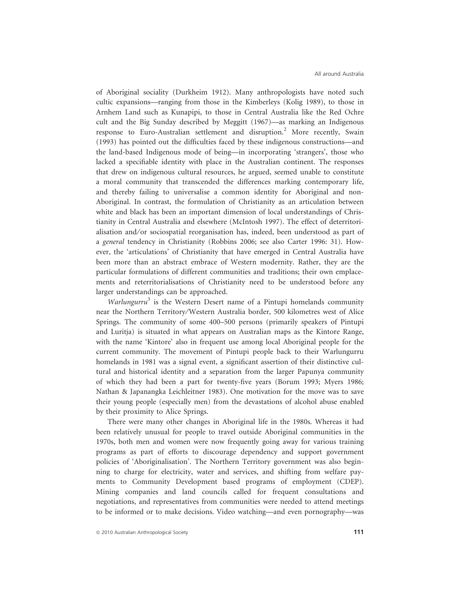of Aboriginal sociality (Durkheim 1912). Many anthropologists have noted such cultic expansions—ranging from those in the Kimberleys (Kolig 1989), to those in Arnhem Land such as Kunapipi, to those in Central Australia like the Red Ochre cult and the Big Sunday described by Meggitt (1967)—as marking an Indigenous response to Euro-Australian settlement and disruption.<sup>2</sup> More recently, Swain (1993) has pointed out the difficulties faced by these indigenous constructions—and the land-based Indigenous mode of being—in incorporating 'strangers', those who lacked a specifiable identity with place in the Australian continent. The responses that drew on indigenous cultural resources, he argued, seemed unable to constitute a moral community that transcended the differences marking contemporary life, and thereby failing to universalise a common identity for Aboriginal and non-Aboriginal. In contrast, the formulation of Christianity as an articulation between white and black has been an important dimension of local understandings of Christianity in Central Australia and elsewhere (McIntosh 1997). The effect of deterritorialisation and ⁄ or sociospatial reorganisation has, indeed, been understood as part of a general tendency in Christianity (Robbins 2006; see also Carter 1996: 31). However, the 'articulations' of Christianity that have emerged in Central Australia have been more than an abstract embrace of Western modernity. Rather, they are the particular formulations of different communities and traditions; their own emplacements and reterritorialisations of Christianity need to be understood before any larger understandings can be approached.

Warlungurru<sup>3</sup> is the Western Desert name of a Pintupi homelands community near the Northern Territory/Western Australia border, 500 kilometres west of Alice Springs. The community of some 400–500 persons (primarily speakers of Pintupi and Luritja) is situated in what appears on Australian maps as the Kintore Range, with the name 'Kintore' also in frequent use among local Aboriginal people for the current community. The movement of Pintupi people back to their Warlungurru homelands in 1981 was a signal event, a significant assertion of their distinctive cultural and historical identity and a separation from the larger Papunya community of which they had been a part for twenty-five years (Borum 1993; Myers 1986; Nathan & Japanangka Leichleitner 1983). One motivation for the move was to save their young people (especially men) from the devastations of alcohol abuse enabled by their proximity to Alice Springs.

There were many other changes in Aboriginal life in the 1980s. Whereas it had been relatively unusual for people to travel outside Aboriginal communities in the 1970s, both men and women were now frequently going away for various training programs as part of efforts to discourage dependency and support government policies of 'Aboriginalisation'. The Northern Territory government was also beginning to charge for electricity, water and services, and shifting from welfare payments to Community Development based programs of employment (CDEP). Mining companies and land councils called for frequent consultations and negotiations, and representatives from communities were needed to attend meetings to be informed or to make decisions. Video watching—and even pornography—was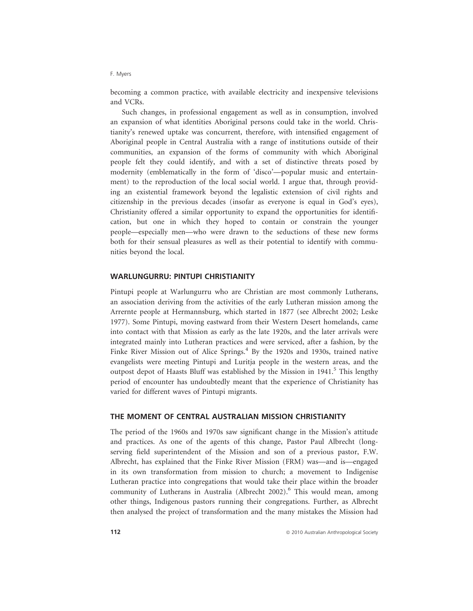becoming a common practice, with available electricity and inexpensive televisions and VCRs.

Such changes, in professional engagement as well as in consumption, involved an expansion of what identities Aboriginal persons could take in the world. Christianity's renewed uptake was concurrent, therefore, with intensified engagement of Aboriginal people in Central Australia with a range of institutions outside of their communities, an expansion of the forms of community with which Aboriginal people felt they could identify, and with a set of distinctive threats posed by modernity (emblematically in the form of 'disco'—popular music and entertainment) to the reproduction of the local social world. I argue that, through providing an existential framework beyond the legalistic extension of civil rights and citizenship in the previous decades (insofar as everyone is equal in God's eyes), Christianity offered a similar opportunity to expand the opportunities for identification, but one in which they hoped to contain or constrain the younger people—especially men—who were drawn to the seductions of these new forms both for their sensual pleasures as well as their potential to identify with communities beyond the local.

# WARLUNGURRU: PINTUPI CHRISTIANITY

Pintupi people at Warlungurru who are Christian are most commonly Lutherans, an association deriving from the activities of the early Lutheran mission among the Arrernte people at Hermannsburg, which started in 1877 (see Albrecht 2002; Leske 1977). Some Pintupi, moving eastward from their Western Desert homelands, came into contact with that Mission as early as the late 1920s, and the later arrivals were integrated mainly into Lutheran practices and were serviced, after a fashion, by the Finke River Mission out of Alice Springs.<sup>4</sup> By the 1920s and 1930s, trained native evangelists were meeting Pintupi and Luritja people in the western areas, and the outpost depot of Haasts Bluff was established by the Mission in  $1941$ .<sup>5</sup> This lengthy period of encounter has undoubtedly meant that the experience of Christianity has varied for different waves of Pintupi migrants.

# THE MOMENT OF CENTRAL AUSTRALIAN MISSION CHRISTIANITY

The period of the 1960s and 1970s saw significant change in the Mission's attitude and practices. As one of the agents of this change, Pastor Paul Albrecht (longserving field superintendent of the Mission and son of a previous pastor, F.W. Albrecht, has explained that the Finke River Mission (FRM) was—and is—engaged in its own transformation from mission to church; a movement to Indigenise Lutheran practice into congregations that would take their place within the broader community of Lutherans in Australia (Albrecht 2002).<sup>6</sup> This would mean, among other things, Indigenous pastors running their congregations. Further, as Albrecht then analysed the project of transformation and the many mistakes the Mission had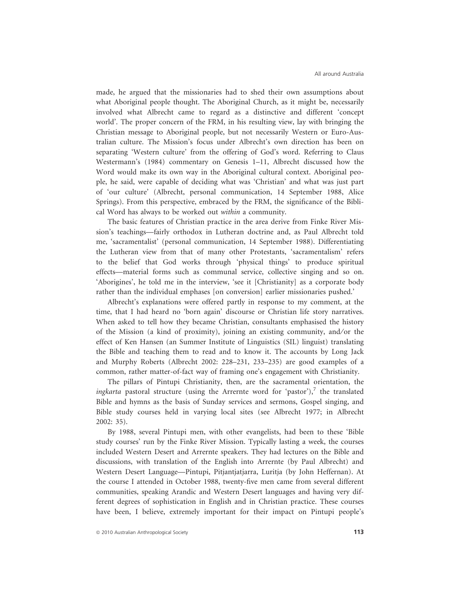made, he argued that the missionaries had to shed their own assumptions about what Aboriginal people thought. The Aboriginal Church, as it might be, necessarily involved what Albrecht came to regard as a distinctive and different 'concept world'. The proper concern of the FRM, in his resulting view, lay with bringing the Christian message to Aboriginal people, but not necessarily Western or Euro-Australian culture. The Mission's focus under Albrecht's own direction has been on separating 'Western culture' from the offering of God's word. Referring to Claus Westermann's (1984) commentary on Genesis 1–11, Albrecht discussed how the Word would make its own way in the Aboriginal cultural context. Aboriginal people, he said, were capable of deciding what was 'Christian' and what was just part of 'our culture' (Albrecht, personal communication, 14 September 1988, Alice Springs). From this perspective, embraced by the FRM, the significance of the Biblical Word has always to be worked out within a community.

The basic features of Christian practice in the area derive from Finke River Mission's teachings—fairly orthodox in Lutheran doctrine and, as Paul Albrecht told me, 'sacramentalist' (personal communication, 14 September 1988). Differentiating the Lutheran view from that of many other Protestants, 'sacramentalism' refers to the belief that God works through 'physical things' to produce spiritual effects—material forms such as communal service, collective singing and so on. 'Aborigines', he told me in the interview, 'see it [Christianity] as a corporate body rather than the individual emphases [on conversion] earlier missionaries pushed.'

Albrecht's explanations were offered partly in response to my comment, at the time, that I had heard no 'born again' discourse or Christian life story narratives. When asked to tell how they became Christian, consultants emphasised the history of the Mission (a kind of proximity), joining an existing community, and ⁄ or the effect of Ken Hansen (an Summer Institute of Linguistics (SIL) linguist) translating the Bible and teaching them to read and to know it. The accounts by Long Jack and Murphy Roberts (Albrecht 2002: 228–231, 233–235) are good examples of a common, rather matter-of-fact way of framing one's engagement with Christianity.

The pillars of Pintupi Christianity, then, are the sacramental orientation, the *ingkarta* pastoral structure (using the Arrernte word for 'pastor'),<sup>7</sup> the translated Bible and hymns as the basis of Sunday services and sermons, Gospel singing, and Bible study courses held in varying local sites (see Albrecht 1977; in Albrecht 2002: 35).

By 1988, several Pintupi men, with other evangelists, had been to these 'Bible study courses' run by the Finke River Mission. Typically lasting a week, the courses included Western Desert and Arrernte speakers. They had lectures on the Bible and discussions, with translation of the English into Arrernte (by Paul Albrecht) and Western Desert Language—Pintupi, Pitjantjatjarra, Luritja (by John Heffernan). At the course I attended in October 1988, twenty-five men came from several different communities, speaking Arandic and Western Desert languages and having very different degrees of sophistication in English and in Christian practice. These courses have been, I believe, extremely important for their impact on Pintupi people's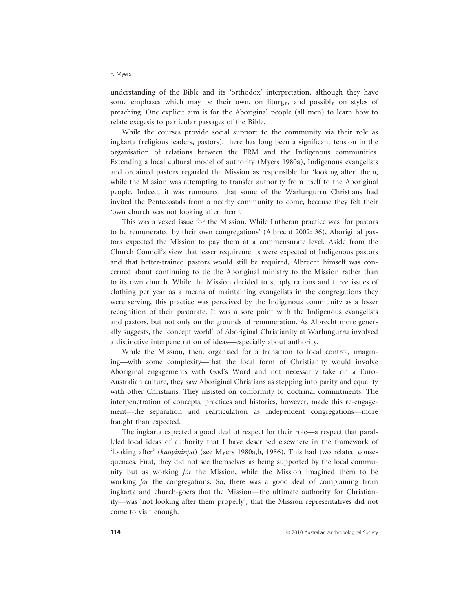understanding of the Bible and its 'orthodox' interpretation, although they have some emphases which may be their own, on liturgy, and possibly on styles of preaching. One explicit aim is for the Aboriginal people (all men) to learn how to relate exegesis to particular passages of the Bible.

While the courses provide social support to the community via their role as ingkarta (religious leaders, pastors), there has long been a significant tension in the organisation of relations between the FRM and the Indigenous communities. Extending a local cultural model of authority (Myers 1980a), Indigenous evangelists and ordained pastors regarded the Mission as responsible for 'looking after' them, while the Mission was attempting to transfer authority from itself to the Aboriginal people. Indeed, it was rumoured that some of the Warlungurru Christians had invited the Pentecostals from a nearby community to come, because they felt their 'own church was not looking after them'.

This was a vexed issue for the Mission. While Lutheran practice was 'for pastors to be remunerated by their own congregations' (Albrecht 2002: 36), Aboriginal pastors expected the Mission to pay them at a commensurate level. Aside from the Church Council's view that lesser requirements were expected of Indigenous pastors and that better-trained pastors would still be required, Albrecht himself was concerned about continuing to tie the Aboriginal ministry to the Mission rather than to its own church. While the Mission decided to supply rations and three issues of clothing per year as a means of maintaining evangelists in the congregations they were serving, this practice was perceived by the Indigenous community as a lesser recognition of their pastorate. It was a sore point with the Indigenous evangelists and pastors, but not only on the grounds of remuneration. As Albrecht more generally suggests, the 'concept world' of Aboriginal Christianity at Warlungurru involved a distinctive interpenetration of ideas—especially about authority.

While the Mission, then, organised for a transition to local control, imagining—with some complexity—that the local form of Christianity would involve Aboriginal engagements with God's Word and not necessarily take on a Euro-Australian culture, they saw Aboriginal Christians as stepping into parity and equality with other Christians. They insisted on conformity to doctrinal commitments. The interpenetration of concepts, practices and histories, however, made this re-engagement—the separation and rearticulation as independent congregations—more fraught than expected.

The ingkarta expected a good deal of respect for their role—a respect that paralleled local ideas of authority that I have described elsewhere in the framework of 'looking after' (kanyininpa) (see Myers 1980a,b, 1986). This had two related consequences. First, they did not see themselves as being supported by the local community but as working for the Mission, while the Mission imagined them to be working for the congregations. So, there was a good deal of complaining from ingkarta and church-goers that the Mission—the ultimate authority for Christianity—was 'not looking after them properly', that the Mission representatives did not come to visit enough.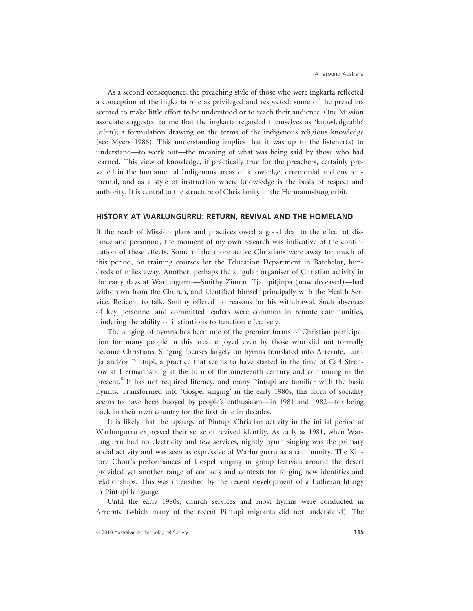As a second consequence, the preaching style of those who were ingkarta reflected a conception of the ingkarta role as privileged and respected: some of the preachers seemed to make little effort to be understood or to reach their audience. One Mission associate suggested to me that the ingkarta regarded themselves as 'knowledgeable' (*ninti*); a formulation drawing on the terms of the indigenous religious knowledge (see Myers 1986). This understanding implies that it was up to the listener(s) to understand—to work out—the meaning of what was being said by those who had learned. This view of knowledge, if practically true for the preachers, certainly prevailed in the fundamental Indigenous areas of knowledge, ceremonial and environmental, and as a style of instruction where knowledge is the basis of respect and authority. It is central to the structure of Christianity in the Hermannsburg orbit.

# HISTORY AT WARLUNGURRU: RETURN, REVIVAL AND THE HOMELAND

If the reach of Mission plans and practices owed a good deal to the effect of distance and personnel, the moment of my own research was indicative of the continuation of these effects. Some of the more active Christians were away for much of this period, on training courses for the Education Department in Batchelor, hundreds of miles away. Another, perhaps the singular organiser of Christian activity in the early days at Warlungurru—Smithy Zimran Tjampitjinpa (now deceased)—had withdrawn from the Church, and identified himself principally with the Health Service. Reticent to talk, Smithy offered no reasons for his withdrawal. Such absences of key personnel and committed leaders were common in remote communities, hindering the ability of institutions to function effectively.

The singing of hymns has been one of the premier forms of Christian participation for many people in this area, enjoyed even by those who did not formally become Christians. Singing focuses largely on hymns translated into Arrernte, Luritja and ⁄ or Pintupi, a practice that seems to have started in the time of Carl Strehlow at Hermannsburg at the turn of the nineteenth century and continuing in the present.<sup>8</sup> It has not required literacy, and many Pintupi are familiar with the basic hymns. Transformed into 'Gospel singing' in the early 1980s, this form of sociality seems to have been buoyed by people's enthusiasm—in 1981 and 1982—for being back in their own country for the first time in decades.

It is likely that the upsurge of Pintupi Christian activity in the initial period at Warlungurru expressed their sense of revived identity. As early as 1981, when Warlungurru had no electricity and few services, nightly hymn singing was the primary social activity and was seen as expressive of Warlungurru as a community. The Kintore Choir's performances of Gospel singing in group festivals around the desert provided yet another range of contacts and contexts for forging new identities and relationships. This was intensified by the recent development of a Lutheran liturgy in Pintupi language.

Until the early 1980s, church services and most hymns were conducted in Arrernte (which many of the recent Pintupi migrants did not understand). The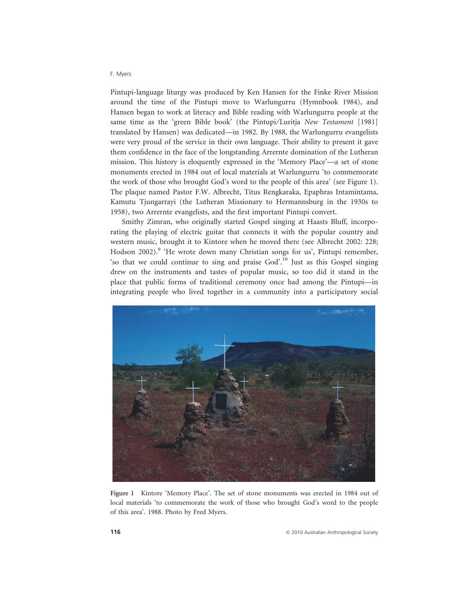Pintupi-language liturgy was produced by Ken Hansen for the Finke River Mission around the time of the Pintupi move to Warlungurru (Hymnbook 1984), and Hansen began to work at literacy and Bible reading with Warlungurru people at the same time as the 'green Bible book' (the Pintupi/Luritja New Testament [1981] translated by Hansen) was dedicated—in 1982. By 1988, the Warlungurru evangelists were very proud of the service in their own language. Their ability to present it gave them confidence in the face of the longstanding Arrernte domination of the Lutheran mission. This history is eloquently expressed in the 'Memory Place'—a set of stone monuments erected in 1984 out of local materials at Warlungurru 'to commemorate the work of those who brought God's word to the people of this area' (see Figure 1). The plaque named Pastor F.W. Albrecht, Titus Rengkaraka, Epaphras Intamintama, Kamutu Tjungarrayi (the Lutheran Missionary to Hermannsburg in the 1930s to 1958), two Arrernte evangelists, and the first important Pintupi convert.

Smithy Zimran, who originally started Gospel singing at Haasts Bluff, incorporating the playing of electric guitar that connects it with the popular country and western music, brought it to Kintore when he moved there (see Albrecht 2002: 228; Hodson 2002).<sup>9</sup> 'He wrote down many Christian songs for us', Pintupi remember, 'so that we could continue to sing and praise  $God.^{10}$  Just as this Gospel singing drew on the instruments and tastes of popular music, so too did it stand in the place that public forms of traditional ceremony once had among the Pintupi—in integrating people who lived together in a community into a participatory social



Figure 1 Kintore 'Memory Place'. The set of stone monuments was erected in 1984 out of local materials 'to commemorate the work of those who brought God's word to the people of this area'. 1988. Photo by Fred Myers.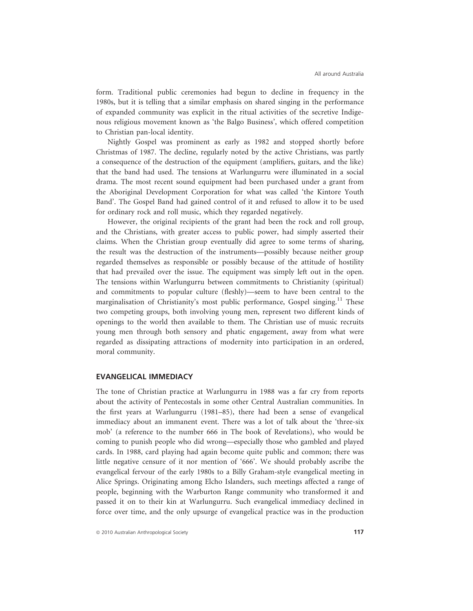form. Traditional public ceremonies had begun to decline in frequency in the 1980s, but it is telling that a similar emphasis on shared singing in the performance of expanded community was explicit in the ritual activities of the secretive Indigenous religious movement known as 'the Balgo Business', which offered competition to Christian pan-local identity.

Nightly Gospel was prominent as early as 1982 and stopped shortly before Christmas of 1987. The decline, regularly noted by the active Christians, was partly a consequence of the destruction of the equipment (amplifiers, guitars, and the like) that the band had used. The tensions at Warlungurru were illuminated in a social drama. The most recent sound equipment had been purchased under a grant from the Aboriginal Development Corporation for what was called 'the Kintore Youth Band'. The Gospel Band had gained control of it and refused to allow it to be used for ordinary rock and roll music, which they regarded negatively.

However, the original recipients of the grant had been the rock and roll group, and the Christians, with greater access to public power, had simply asserted their claims. When the Christian group eventually did agree to some terms of sharing, the result was the destruction of the instruments—possibly because neither group regarded themselves as responsible or possibly because of the attitude of hostility that had prevailed over the issue. The equipment was simply left out in the open. The tensions within Warlungurru between commitments to Christianity (spiritual) and commitments to popular culture (fleshly)—seem to have been central to the marginalisation of Christianity's most public performance, Gospel singing.<sup>11</sup> These two competing groups, both involving young men, represent two different kinds of openings to the world then available to them. The Christian use of music recruits young men through both sensory and phatic engagement, away from what were regarded as dissipating attractions of modernity into participation in an ordered, moral community.

# EVANGELICAL IMMEDIACY

The tone of Christian practice at Warlungurru in 1988 was a far cry from reports about the activity of Pentecostals in some other Central Australian communities. In the first years at Warlungurru (1981–85), there had been a sense of evangelical immediacy about an immanent event. There was a lot of talk about the 'three-six mob' (a reference to the number 666 in The book of Revelations), who would be coming to punish people who did wrong—especially those who gambled and played cards. In 1988, card playing had again become quite public and common; there was little negative censure of it nor mention of '666'. We should probably ascribe the evangelical fervour of the early 1980s to a Billy Graham-style evangelical meeting in Alice Springs. Originating among Elcho Islanders, such meetings affected a range of people, beginning with the Warburton Range community who transformed it and passed it on to their kin at Warlungurru. Such evangelical immediacy declined in force over time, and the only upsurge of evangelical practice was in the production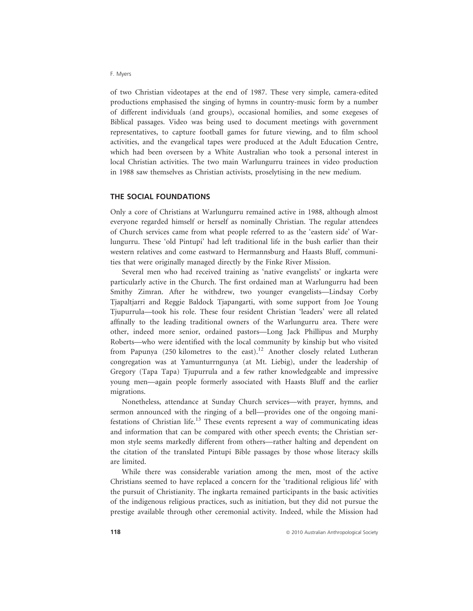of two Christian videotapes at the end of 1987. These very simple, camera-edited productions emphasised the singing of hymns in country-music form by a number of different individuals (and groups), occasional homilies, and some exegeses of Biblical passages. Video was being used to document meetings with government representatives, to capture football games for future viewing, and to film school activities, and the evangelical tapes were produced at the Adult Education Centre, which had been overseen by a White Australian who took a personal interest in local Christian activities. The two main Warlungurru trainees in video production in 1988 saw themselves as Christian activists, proselytising in the new medium.

# THE SOCIAL FOUNDATIONS

Only a core of Christians at Warlungurru remained active in 1988, although almost everyone regarded himself or herself as nominally Christian. The regular attendees of Church services came from what people referred to as the 'eastern side' of Warlungurru. These 'old Pintupi' had left traditional life in the bush earlier than their western relatives and come eastward to Hermannsburg and Haasts Bluff, communities that were originally managed directly by the Finke River Mission.

Several men who had received training as 'native evangelists' or ingkarta were particularly active in the Church. The first ordained man at Warlungurru had been Smithy Zimran. After he withdrew, two younger evangelists—Lindsay Corby Tjapaltjarri and Reggie Baldock Tjapangarti, with some support from Joe Young Tjupurrula—took his role. These four resident Christian 'leaders' were all related affinally to the leading traditional owners of the Warlungurru area. There were other, indeed more senior, ordained pastors—Long Jack Phillipus and Murphy Roberts—who were identified with the local community by kinship but who visited from Papunya (250 kilometres to the east).<sup>12</sup> Another closely related Lutheran congregation was at Yamunturrngunya (at Mt. Liebig), under the leadership of Gregory (Tapa Tapa) Tjupurrula and a few rather knowledgeable and impressive young men—again people formerly associated with Haasts Bluff and the earlier migrations.

Nonetheless, attendance at Sunday Church services—with prayer, hymns, and sermon announced with the ringing of a bell—provides one of the ongoing manifestations of Christian life.<sup>13</sup> These events represent a way of communicating ideas and information that can be compared with other speech events; the Christian sermon style seems markedly different from others—rather halting and dependent on the citation of the translated Pintupi Bible passages by those whose literacy skills are limited.

While there was considerable variation among the men, most of the active Christians seemed to have replaced a concern for the 'traditional religious life' with the pursuit of Christianity. The ingkarta remained participants in the basic activities of the indigenous religious practices, such as initiation, but they did not pursue the prestige available through other ceremonial activity. Indeed, while the Mission had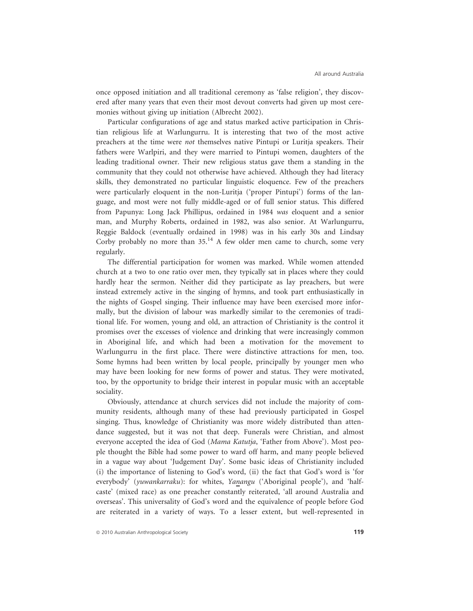once opposed initiation and all traditional ceremony as 'false religion', they discovered after many years that even their most devout converts had given up most ceremonies without giving up initiation (Albrecht 2002).

Particular configurations of age and status marked active participation in Christian religious life at Warlungurru. It is interesting that two of the most active preachers at the time were not themselves native Pintupi or Luritja speakers. Their fathers were Warlpiri, and they were married to Pintupi women, daughters of the leading traditional owner. Their new religious status gave them a standing in the community that they could not otherwise have achieved. Although they had literacy skills, they demonstrated no particular linguistic eloquence. Few of the preachers were particularly eloquent in the non-Luritja ('proper Pintupi') forms of the language, and most were not fully middle-aged or of full senior status. This differed from Papunya: Long Jack Phillipus, ordained in 1984 was eloquent and a senior man, and Murphy Roberts, ordained in 1982, was also senior. At Warlungurru, Reggie Baldock (eventually ordained in 1998) was in his early 30s and Lindsay Corby probably no more than  $35.^{14}$  A few older men came to church, some very regularly.

The differential participation for women was marked. While women attended church at a two to one ratio over men, they typically sat in places where they could hardly hear the sermon. Neither did they participate as lay preachers, but were instead extremely active in the singing of hymns, and took part enthusiastically in the nights of Gospel singing. Their influence may have been exercised more informally, but the division of labour was markedly similar to the ceremonies of traditional life. For women, young and old, an attraction of Christianity is the control it promises over the excesses of violence and drinking that were increasingly common in Aboriginal life, and which had been a motivation for the movement to Warlungurru in the first place. There were distinctive attractions for men, too. Some hymns had been written by local people, principally by younger men who may have been looking for new forms of power and status. They were motivated, too, by the opportunity to bridge their interest in popular music with an acceptable sociality.

Obviously, attendance at church services did not include the majority of community residents, although many of these had previously participated in Gospel singing. Thus, knowledge of Christianity was more widely distributed than attendance suggested, but it was not that deep. Funerals were Christian, and almost everyone accepted the idea of God (Mama Katutja, 'Father from Above'). Most people thought the Bible had some power to ward off harm, and many people believed in a vague way about 'Judgement Day'. Some basic ideas of Christianity included (i) the importance of listening to God's word, (ii) the fact that God's word is 'for everybody' (yuwankarraku): for whites, Yanangu ('Aboriginal people'), and 'halfcaste' (mixed race) as one preacher constantly reiterated, 'all around Australia and overseas'. This universality of God's word and the equivalence of people before God are reiterated in a variety of ways. To a lesser extent, but well-represented in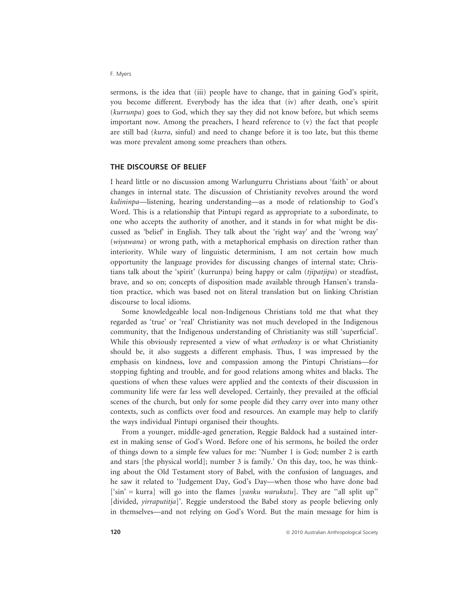sermons, is the idea that (iii) people have to change, that in gaining God's spirit, you become different. Everybody has the idea that (iv) after death, one's spirit (kurrunpa) goes to God, which they say they did not know before, but which seems important now. Among the preachers, I heard reference to  $(v)$  the fact that people are still bad (kurra, sinful) and need to change before it is too late, but this theme was more prevalent among some preachers than others.

# THE DISCOURSE OF BELIEF

I heard little or no discussion among Warlungurru Christians about 'faith' or about changes in internal state. The discussion of Christianity revolves around the word kulininpa—listening, hearing understanding—as a mode of relationship to God's Word. This is a relationship that Pintupi regard as appropriate to a subordinate, to one who accepts the authority of another, and it stands in for what might be discussed as 'belief' in English. They talk about the 'right way' and the 'wrong way' (wiyawana) or wrong path, with a metaphorical emphasis on direction rather than interiority. While wary of linguistic determinism, I am not certain how much opportunity the language provides for discussing changes of internal state; Christians talk about the 'spirit' (kurrunpa) being happy or calm (tjipatjipa) or steadfast, brave, and so on; concepts of disposition made available through Hansen's translation practice, which was based not on literal translation but on linking Christian discourse to local idioms.

Some knowledgeable local non-Indigenous Christians told me that what they regarded as 'true' or 'real' Christianity was not much developed in the Indigenous community, that the Indigenous understanding of Christianity was still 'superficial'. While this obviously represented a view of what *orthodoxy* is or what Christianity should be, it also suggests a different emphasis. Thus, I was impressed by the emphasis on kindness, love and compassion among the Pintupi Christians—for stopping fighting and trouble, and for good relations among whites and blacks. The questions of when these values were applied and the contexts of their discussion in community life were far less well developed. Certainly, they prevailed at the official scenes of the church, but only for some people did they carry over into many other contexts, such as conflicts over food and resources. An example may help to clarify the ways individual Pintupi organised their thoughts.

From a younger, middle-aged generation, Reggie Baldock had a sustained interest in making sense of God's Word. Before one of his sermons, he boiled the order of things down to a simple few values for me: 'Number 1 is God; number 2 is earth and stars [the physical world]; number 3 is family.' On this day, too, he was thinking about the Old Testament story of Babel, with the confusion of languages, and he saw it related to 'Judgement Day, God's Day—when those who have done bad  $[$ 'sin' = kurra] will go into the flames  $[*ynku warukutu*]$ . They are "all split up" [divided, *yirraputitja*]'. Reggie understood the Babel story as people believing only in themselves—and not relying on God's Word. But the main message for him is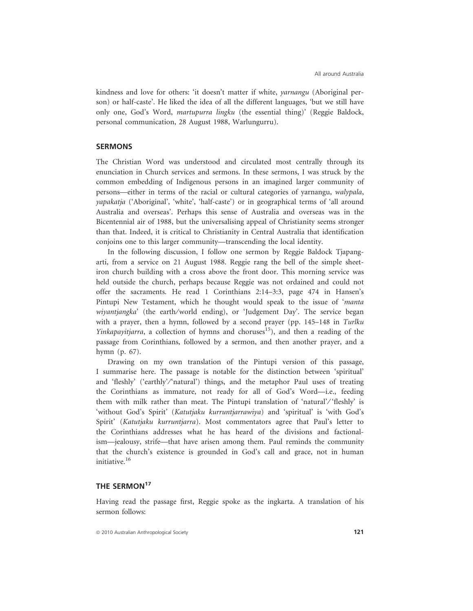kindness and love for others: 'it doesn't matter if white, yarnangu (Aboriginal person) or half-caste'. He liked the idea of all the different languages, 'but we still have only one, God's Word, martupurra lingku (the essential thing)' (Reggie Baldock, personal communication, 28 August 1988, Warlungurru).

# **SERMONS**

The Christian Word was understood and circulated most centrally through its enunciation in Church services and sermons. In these sermons, I was struck by the common embedding of Indigenous persons in an imagined larger community of persons—either in terms of the racial or cultural categories of yarnangu, walypala, yapakatja ('Aboriginal', 'white', 'half-caste') or in geographical terms of 'all around Australia and overseas'. Perhaps this sense of Australia and overseas was in the Bicentennial air of 1988, but the universalising appeal of Christianity seems stronger than that. Indeed, it is critical to Christianity in Central Australia that identification conjoins one to this larger community—transcending the local identity.

In the following discussion, I follow one sermon by Reggie Baldock Tjapangarti, from a service on 21 August 1988. Reggie rang the bell of the simple sheetiron church building with a cross above the front door. This morning service was held outside the church, perhaps because Reggie was not ordained and could not offer the sacraments. He read 1 Corinthians 2:14–3:3, page 474 in Hansen's Pintupi New Testament, which he thought would speak to the issue of 'manta wiyantjangka' (the earth/world ending), or 'Judgement Day'. The service began with a prayer, then a hymn, followed by a second prayer (pp. 145-148 in Turlku *Yinkapayitjarra*, a collection of hymns and choruses<sup>15</sup>), and then a reading of the passage from Corinthians, followed by a sermon, and then another prayer, and a hymn (p. 67).

Drawing on my own translation of the Pintupi version of this passage, I summarise here. The passage is notable for the distinction between 'spiritual' and 'fleshly' ('earthly'/'natural') things, and the metaphor Paul uses of treating the Corinthians as immature, not ready for all of God's Word—i.e., feeding them with milk rather than meat. The Pintupi translation of 'natural'/'fleshly' is 'without God's Spirit' (Katutjaku kurruntjarrawiya) and 'spiritual' is 'with God's Spirit' (Katutjaku kurruntjarra). Most commentators agree that Paul's letter to the Corinthians addresses what he has heard of the divisions and factionalism—jealousy, strife—that have arisen among them. Paul reminds the community that the church's existence is grounded in God's call and grace, not in human initiative.<sup>16</sup>

# THE SERMON<sup>17</sup>

Having read the passage first, Reggie spoke as the ingkarta. A translation of his sermon follows: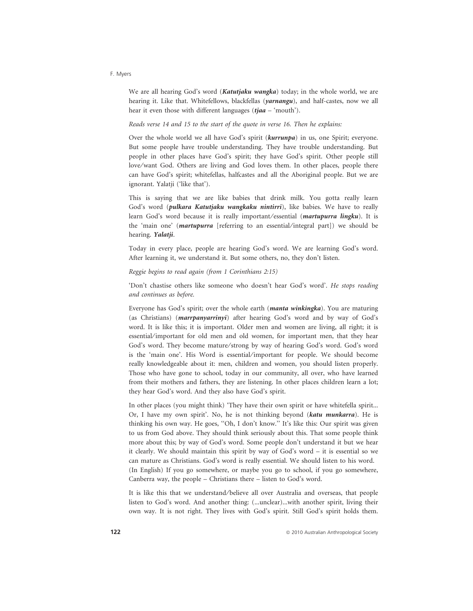We are all hearing God's word (Katutjaku wangka) today; in the whole world, we are hearing it. Like that. Whitefellows, blackfellas (*yarnangu*), and half-castes, now we all hear it even those with different languages ( $tjaa$  – 'mouth').

## Reads verse 14 and 15 to the start of the quote in verse 16. Then he explains:

Over the whole world we all have God's spirit (**kurrunpa**) in us, one Spirit; everyone. But some people have trouble understanding. They have trouble understanding. But people in other places have God's spirit; they have God's spirit. Other people still love/want God. Others are living and God loves them. In other places, people there can have God's spirit; whitefellas, halfcastes and all the Aboriginal people. But we are ignorant. Yalatji ('like that').

This is saying that we are like babies that drink milk. You gotta really learn God's word (pulkara Katutjaku wangkaku nintirri), like babies. We have to really learn God's word because it is really important/essential (martupurra lingku). It is the 'main one' (*martupurra* [referring to an essential/integral part]) we should be hearing. Yalatji.

Today in every place, people are hearing God's word. We are learning God's word. After learning it, we understand it. But some others, no, they don't listen.

## Reggie begins to read again (from 1 Corinthians 2:15)

'Don't chastise others like someone who doesn't hear God's word'. He stops reading and continues as before.

Everyone has God's spirit; over the whole earth (manta winkingka). You are maturing (as Christians) (*marrpanyarrinyi*) after hearing God's word and by way of God's word. It is like this; it is important. Older men and women are living, all right; it is essential/important for old men and old women, for important men, that they hear God's word. They become mature/strong by way of hearing God's word. God's word is the 'main one'. His Word is essential/important for people. We should become really knowledgeable about it: men, children and women, you should listen properly. Those who have gone to school, today in our community, all over, who have learned from their mothers and fathers, they are listening. In other places children learn a lot; they hear God's word. And they also have God's spirit.

In other places (you might think) 'They have their own spirit or have whitefella spirit... Or, I have my own spirit'. No, he is not thinking beyond (katu munkarra). He is thinking his own way. He goes, ''Oh, I don't know.'' It's like this: Our spirit was given to us from God above. They should think seriously about this. That some people think more about this; by way of God's word. Some people don't understand it but we hear it clearly. We should maintain this spirit by way of God's word – it is essential so we can mature as Christians. God's word is really essential. We should listen to his word. (In English) If you go somewhere, or maybe you go to school, if you go somewhere, Canberra way, the people – Christians there – listen to God's word.

It is like this that we understand/believe all over Australia and overseas, that people listen to God's word. And another thing: (...unclear)...with another spirit, living their own way. It is not right. They lives with God's spirit. Still God's spirit holds them.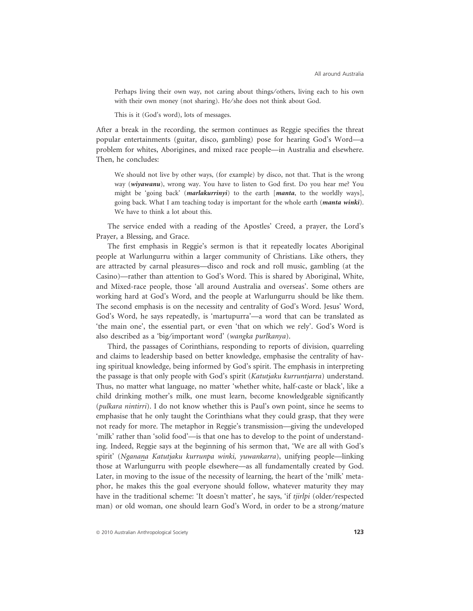Perhaps living their own way, not caring about things⁄ others, living each to his own with their own money (not sharing). He/she does not think about God.

This is it (God's word), lots of messages.

After a break in the recording, the sermon continues as Reggie specifies the threat popular entertainments (guitar, disco, gambling) pose for hearing God's Word—a problem for whites, Aborigines, and mixed race people—in Australia and elsewhere. Then, he concludes:

We should not live by other ways, (for example) by disco, not that. That is the wrong way (wiyawanu), wrong way. You have to listen to God first. Do you hear me? You might be 'going back' (*marlakurrinyi*) to the earth [*manta*, to the worldly ways], going back. What I am teaching today is important for the whole earth (*manta winki*). We have to think a lot about this.

The service ended with a reading of the Apostles' Creed, a prayer, the Lord's Prayer, a Blessing, and Grace.

The first emphasis in Reggie's sermon is that it repeatedly locates Aboriginal people at Warlungurru within a larger community of Christians. Like others, they are attracted by carnal pleasures—disco and rock and roll music, gambling (at the Casino)—rather than attention to God's Word. This is shared by Aboriginal, White, and Mixed-race people, those 'all around Australia and overseas'. Some others are working hard at God's Word, and the people at Warlungurru should be like them. The second emphasis is on the necessity and centrality of God's Word. Jesus' Word, God's Word, he says repeatedly, is 'martupurra'—a word that can be translated as 'the main one', the essential part, or even 'that on which we rely'. God's Word is also described as a 'big/important word' (wangka purlkanya).

Third, the passages of Corinthians, responding to reports of division, quarreling and claims to leadership based on better knowledge, emphasise the centrality of having spiritual knowledge, being informed by God's spirit. The emphasis in interpreting the passage is that only people with God's spirit (Katutjaku kurruntjarra) understand. Thus, no matter what language, no matter 'whether white, half-caste or black', like a child drinking mother's milk, one must learn, become knowledgeable significantly (pulkara nintirri). I do not know whether this is Paul's own point, since he seems to emphasise that he only taught the Corinthians what they could grasp, that they were not ready for more. The metaphor in Reggie's transmission—giving the undeveloped 'milk' rather than 'solid food'—is that one has to develop to the point of understanding. Indeed, Reggie says at the beginning of his sermon that, 'We are all with God's spirit' (Nganana Katutjaku kurrunpa winki, yuwankarra), unifying people—linking those at Warlungurru with people elsewhere—as all fundamentally created by God. Later, in moving to the issue of the necessity of learning, the heart of the 'milk' metaphor, he makes this the goal everyone should follow, whatever maturity they may have in the traditional scheme: 'It doesn't matter', he says, 'if tjirlpi (older/respected man) or old woman, one should learn God's Word, in order to be a strong/mature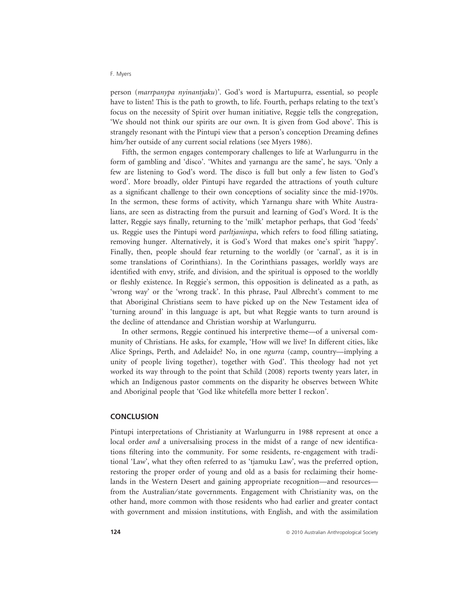person (marrpanypa nyinantjaku)'. God's word is Martupurra, essential, so people have to listen! This is the path to growth, to life. Fourth, perhaps relating to the text's focus on the necessity of Spirit over human initiative, Reggie tells the congregation, 'We should not think our spirits are our own. It is given from God above'. This is strangely resonant with the Pintupi view that a person's conception Dreaming defines him/her outside of any current social relations (see Myers 1986).

Fifth, the sermon engages contemporary challenges to life at Warlungurru in the form of gambling and 'disco'. 'Whites and yarnangu are the same', he says. 'Only a few are listening to God's word. The disco is full but only a few listen to God's word'. More broadly, older Pintupi have regarded the attractions of youth culture as a significant challenge to their own conceptions of sociality since the mid-1970s. In the sermon, these forms of activity, which Yarnangu share with White Australians, are seen as distracting from the pursuit and learning of God's Word. It is the latter, Reggie says finally, returning to the 'milk' metaphor perhaps, that God 'feeds' us. Reggie uses the Pintupi word parltjaninpa, which refers to food filling satiating, removing hunger. Alternatively, it is God's Word that makes one's spirit 'happy'. Finally, then, people should fear returning to the worldly (or 'carnal', as it is in some translations of Corinthians). In the Corinthians passages, worldly ways are identified with envy, strife, and division, and the spiritual is opposed to the worldly or fleshly existence. In Reggie's sermon, this opposition is delineated as a path, as 'wrong way' or the 'wrong track'. In this phrase, Paul Albrecht's comment to me that Aboriginal Christians seem to have picked up on the New Testament idea of 'turning around' in this language is apt, but what Reggie wants to turn around is the decline of attendance and Christian worship at Warlungurru.

In other sermons, Reggie continued his interpretive theme—of a universal community of Christians. He asks, for example, 'How will we live? In different cities, like Alice Springs, Perth, and Adelaide? No, in one ngurra (camp, country—implying a unity of people living together), together with God'. This theology had not yet worked its way through to the point that Schild (2008) reports twenty years later, in which an Indigenous pastor comments on the disparity he observes between White and Aboriginal people that 'God like whitefella more better I reckon'.

# **CONCLUSION**

Pintupi interpretations of Christianity at Warlungurru in 1988 represent at once a local order *and* a universalising process in the midst of a range of new identifications filtering into the community. For some residents, re-engagement with traditional 'Law', what they often referred to as 'tjamuku Law', was the preferred option, restoring the proper order of young and old as a basis for reclaiming their homelands in the Western Desert and gaining appropriate recognition—and resources from the Australian/state governments. Engagement with Christianity was, on the other hand, more common with those residents who had earlier and greater contact with government and mission institutions, with English, and with the assimilation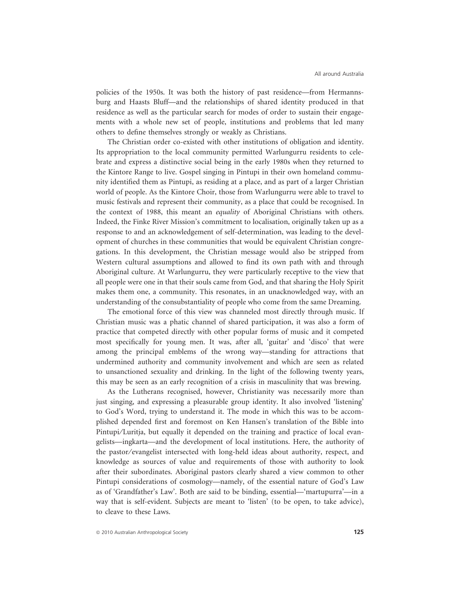policies of the 1950s. It was both the history of past residence—from Hermannsburg and Haasts Bluff—and the relationships of shared identity produced in that residence as well as the particular search for modes of order to sustain their engagements with a whole new set of people, institutions and problems that led many others to define themselves strongly or weakly as Christians.

The Christian order co-existed with other institutions of obligation and identity. Its appropriation to the local community permitted Warlungurru residents to celebrate and express a distinctive social being in the early 1980s when they returned to the Kintore Range to live. Gospel singing in Pintupi in their own homeland community identified them as Pintupi, as residing at a place, and as part of a larger Christian world of people. As the Kintore Choir, those from Warlungurru were able to travel to music festivals and represent their community, as a place that could be recognised. In the context of 1988, this meant an equality of Aboriginal Christians with others. Indeed, the Finke River Mission's commitment to localisation, originally taken up as a response to and an acknowledgement of self-determination, was leading to the development of churches in these communities that would be equivalent Christian congregations. In this development, the Christian message would also be stripped from Western cultural assumptions and allowed to find its own path with and through Aboriginal culture. At Warlungurru, they were particularly receptive to the view that all people were one in that their souls came from God, and that sharing the Holy Spirit makes them one, a community. This resonates, in an unacknowledged way, with an understanding of the consubstantiality of people who come from the same Dreaming.

The emotional force of this view was channeled most directly through music. If Christian music was a phatic channel of shared participation, it was also a form of practice that competed directly with other popular forms of music and it competed most specifically for young men. It was, after all, 'guitar' and 'disco' that were among the principal emblems of the wrong way—standing for attractions that undermined authority and community involvement and which are seen as related to unsanctioned sexuality and drinking. In the light of the following twenty years, this may be seen as an early recognition of a crisis in masculinity that was brewing.

As the Lutherans recognised, however, Christianity was necessarily more than just singing, and expressing a pleasurable group identity. It also involved 'listening' to God's Word, trying to understand it. The mode in which this was to be accomplished depended first and foremost on Ken Hansen's translation of the Bible into Pintupi/Luritja, but equally it depended on the training and practice of local evangelists—ingkarta—and the development of local institutions. Here, the authority of the pastor⁄ evangelist intersected with long-held ideas about authority, respect, and knowledge as sources of value and requirements of those with authority to look after their subordinates. Aboriginal pastors clearly shared a view common to other Pintupi considerations of cosmology—namely, of the essential nature of God's Law as of 'Grandfather's Law'. Both are said to be binding, essential—'martupurra'—in a way that is self-evident. Subjects are meant to 'listen' (to be open, to take advice), to cleave to these Laws.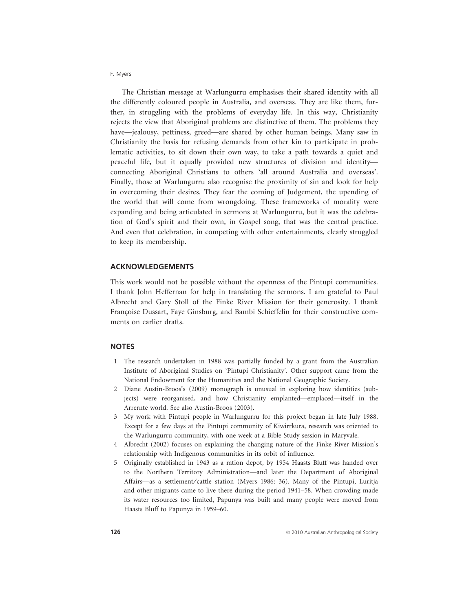The Christian message at Warlungurru emphasises their shared identity with all the differently coloured people in Australia, and overseas. They are like them, further, in struggling with the problems of everyday life. In this way, Christianity rejects the view that Aboriginal problems are distinctive of them. The problems they have—jealousy, pettiness, greed—are shared by other human beings. Many saw in Christianity the basis for refusing demands from other kin to participate in problematic activities, to sit down their own way, to take a path towards a quiet and peaceful life, but it equally provided new structures of division and identity connecting Aboriginal Christians to others 'all around Australia and overseas'. Finally, those at Warlungurru also recognise the proximity of sin and look for help in overcoming their desires. They fear the coming of Judgement, the upending of the world that will come from wrongdoing. These frameworks of morality were expanding and being articulated in sermons at Warlungurru, but it was the celebration of God's spirit and their own, in Gospel song, that was the central practice. And even that celebration, in competing with other entertainments, clearly struggled to keep its membership.

# ACKNOWLEDGEMENTS

This work would not be possible without the openness of the Pintupi communities. I thank John Heffernan for help in translating the sermons. I am grateful to Paul Albrecht and Gary Stoll of the Finke River Mission for their generosity. I thank Françoise Dussart, Faye Ginsburg, and Bambi Schieffelin for their constructive comments on earlier drafts.

# **NOTES**

- 1 The research undertaken in 1988 was partially funded by a grant from the Australian Institute of Aboriginal Studies on 'Pintupi Christianity'. Other support came from the National Endowment for the Humanities and the National Geographic Society.
- 2 Diane Austin-Broos's (2009) monograph is unusual in exploring how identities (subjects) were reorganised, and how Christianity emplanted—emplaced—itself in the Arrernte world. See also Austin-Broos (2003).
- 3 My work with Pintupi people in Warlungurru for this project began in late July 1988. Except for a few days at the Pintupi community of Kiwirrkura, research was oriented to the Warlungurru community, with one week at a Bible Study session in Maryvale.
- 4 Albrecht (2002) focuses on explaining the changing nature of the Finke River Mission's relationship with Indigenous communities in its orbit of influence.
- 5 Originally established in 1943 as a ration depot, by 1954 Haasts Bluff was handed over to the Northern Territory Administration—and later the Department of Aboriginal Affairs—as a settlement ⁄ cattle station (Myers 1986: 36). Many of the Pintupi, Luritja and other migrants came to live there during the period 1941–58. When crowding made its water resources too limited, Papunya was built and many people were moved from Haasts Bluff to Papunya in 1959–60.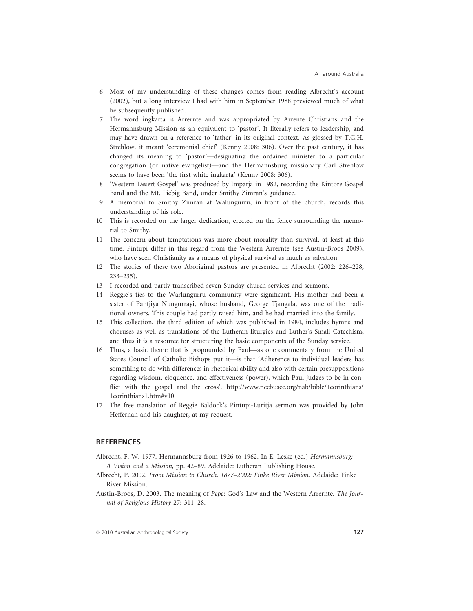- 6 Most of my understanding of these changes comes from reading Albrecht's account (2002), but a long interview I had with him in September 1988 previewed much of what he subsequently published.
- 7 The word ingkarta is Arrernte and was appropriated by Arrente Christians and the Hermannsburg Mission as an equivalent to 'pastor'. It literally refers to leadership, and may have drawn on a reference to 'father' in its original context. As glossed by T.G.H. Strehlow, it meant 'ceremonial chief' (Kenny 2008: 306). Over the past century, it has changed its meaning to 'pastor'—designating the ordained minister to a particular congregation (or native evangelist)—and the Hermannsburg missionary Carl Strehlow seems to have been 'the first white ingkarta' (Kenny 2008: 306).
- 8 'Western Desert Gospel' was produced by Imparja in 1982, recording the Kintore Gospel Band and the Mt. Liebig Band, under Smithy Zimran's guidance.
- 9 A memorial to Smithy Zimran at Walungurru, in front of the church, records this understanding of his role.
- 10 This is recorded on the larger dedication, erected on the fence surrounding the memorial to Smithy.
- 11 The concern about temptations was more about morality than survival, at least at this time. Pintupi differ in this regard from the Western Arrernte (see Austin-Broos 2009), who have seen Christianity as a means of physical survival as much as salvation.
- 12 The stories of these two Aboriginal pastors are presented in Albrecht (2002: 226–228, 233–235).
- 13 I recorded and partly transcribed seven Sunday church services and sermons.
- 14 Reggie's ties to the Warlungurru community were significant. His mother had been a sister of Pantjiya Nungurrayi, whose husband, George Tjangala, was one of the traditional owners. This couple had partly raised him, and he had married into the family.
- 15 This collection, the third edition of which was published in 1984, includes hymns and choruses as well as translations of the Lutheran liturgies and Luther's Small Catechism, and thus it is a resource for structuring the basic components of the Sunday service.
- 16 Thus, a basic theme that is propounded by Paul—as one commentary from the United States Council of Catholic Bishops put it—is that 'Adherence to individual leaders has something to do with differences in rhetorical ability and also with certain presuppositions regarding wisdom, eloquence, and effectiveness (power), which Paul judges to be in conflict with the gospel and the cross'. http://www.nccbuscc.org/nab/bible/1corinthians/ 1corinthians1.htm#v10
- 17 The free translation of Reggie Baldock's Pintupi-Luritja sermon was provided by John Heffernan and his daughter, at my request.

# **REFERENCES**

- Albrecht, F. W. 1977. Hermannsburg from 1926 to 1962. In E. Leske (ed.) Hermannsburg: A Vision and a Mission, pp. 42–89. Adelaide: Lutheran Publishing House.
- Albrecht, P. 2002. From Mission to Church, 1877–2002: Finke River Mission. Adelaide: Finke River Mission.
- Austin-Broos, D. 2003. The meaning of Pepe: God's Law and the Western Arrernte. The Journal of Religious History 27: 311–28.